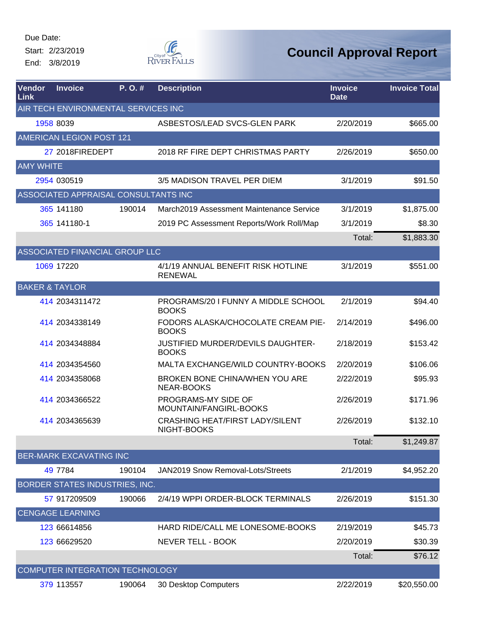Start: 2/23/2019 End: 3/8/2019



| Vendor<br>Link            | <b>Invoice</b>                       | P.O.#  | <b>Description</b>                                        | <b>Invoice</b><br><b>Date</b> | <b>Invoice Total</b> |
|---------------------------|--------------------------------------|--------|-----------------------------------------------------------|-------------------------------|----------------------|
|                           | AIR TECH ENVIRONMENTAL SERVICES INC  |        |                                                           |                               |                      |
|                           | 1958 8039                            |        | ASBESTOS/LEAD SVCS-GLEN PARK                              | 2/20/2019                     | \$665.00             |
|                           | AMERICAN LEGION POST 121             |        |                                                           |                               |                      |
|                           | 27 2018FIREDEPT                      |        | 2018 RF FIRE DEPT CHRISTMAS PARTY                         | 2/26/2019                     | \$650.00             |
| <b>AMY WHITE</b>          |                                      |        |                                                           |                               |                      |
|                           | 2954 030519                          |        | 3/5 MADISON TRAVEL PER DIEM                               | 3/1/2019                      | \$91.50              |
|                           | ASSOCIATED APPRAISAL CONSULTANTS INC |        |                                                           |                               |                      |
|                           | 365 141180                           | 190014 | March2019 Assessment Maintenance Service                  | 3/1/2019                      | \$1,875.00           |
|                           | 365 141180-1                         |        | 2019 PC Assessment Reports/Work Roll/Map                  | 3/1/2019                      | \$8.30               |
|                           |                                      |        |                                                           | Total:                        | \$1,883.30           |
|                           | ASSOCIATED FINANCIAL GROUP LLC       |        |                                                           |                               |                      |
|                           | 1069 17220                           |        | 4/1/19 ANNUAL BENEFIT RISK HOTLINE<br><b>RENEWAL</b>      | 3/1/2019                      | \$551.00             |
| <b>BAKER &amp; TAYLOR</b> |                                      |        |                                                           |                               |                      |
|                           | 414 2034311472                       |        | PROGRAMS/20 I FUNNY A MIDDLE SCHOOL<br><b>BOOKS</b>       | 2/1/2019                      | \$94.40              |
|                           | 414 2034338149                       |        | <b>FODORS ALASKA/CHOCOLATE CREAM PIE-</b><br><b>BOOKS</b> | 2/14/2019                     | \$496.00             |
|                           | 414 2034348884                       |        | JUSTIFIED MURDER/DEVILS DAUGHTER-<br><b>BOOKS</b>         | 2/18/2019                     | \$153.42             |
|                           | 414 2034354560                       |        | MALTA EXCHANGE/WILD COUNTRY-BOOKS                         | 2/20/2019                     | \$106.06             |
|                           | 414 2034358068                       |        | BROKEN BONE CHINA/WHEN YOU ARE<br>NEAR-BOOKS              | 2/22/2019                     | \$95.93              |
|                           | 414 2034366522                       |        | PROGRAMS-MY SIDE OF<br>MOUNTAIN/FANGIRL-BOOKS             | 2/26/2019                     | \$171.96             |
|                           | 414 2034365639                       |        | <b>CRASHING HEAT/FIRST LADY/SILENT</b><br>NIGHT-BOOKS     | 2/26/2019                     | \$132.10             |
|                           |                                      |        |                                                           | Total:                        | \$1,249.87           |
|                           | <b>BER-MARK EXCAVATING INC</b>       |        |                                                           |                               |                      |
|                           | 49 7784                              | 190104 | JAN2019 Snow Removal-Lots/Streets                         | 2/1/2019                      | \$4,952.20           |
|                           | BORDER STATES INDUSTRIES, INC.       |        |                                                           |                               |                      |
|                           | 57 917209509                         | 190066 | 2/4/19 WPPI ORDER-BLOCK TERMINALS                         | 2/26/2019                     | \$151.30             |
|                           | <b>CENGAGE LEARNING</b>              |        |                                                           |                               |                      |
|                           | 123 66614856                         |        | HARD RIDE/CALL ME LONESOME-BOOKS                          | 2/19/2019                     | \$45.73              |
|                           | 123 66629520                         |        | <b>NEVER TELL - BOOK</b>                                  | 2/20/2019                     | \$30.39              |
|                           |                                      |        |                                                           | Total:                        | \$76.12              |
|                           | COMPUTER INTEGRATION TECHNOLOGY      |        |                                                           |                               |                      |
|                           | 379 113557                           | 190064 | 30 Desktop Computers                                      | 2/22/2019                     | \$20,550.00          |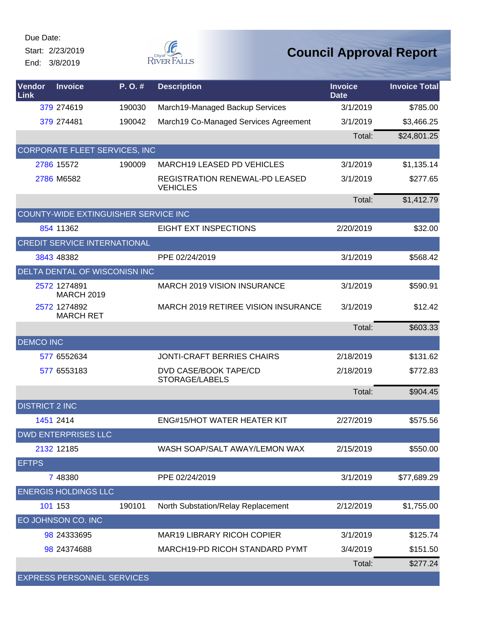Start: 2/23/2019 End: 3/8/2019



| Vendor<br>Link        | <b>Invoice</b>                        | $P. O.$ # | <b>Description</b>                                       | <b>Invoice</b><br><b>Date</b> | <b>Invoice Total</b> |
|-----------------------|---------------------------------------|-----------|----------------------------------------------------------|-------------------------------|----------------------|
|                       | 379 274619                            | 190030    | March19-Managed Backup Services                          | 3/1/2019                      | \$785.00             |
|                       | 379 274481                            | 190042    | March19 Co-Managed Services Agreement                    | 3/1/2019                      | \$3,466.25           |
|                       |                                       |           |                                                          | Total:                        | \$24,801.25          |
|                       | <b>CORPORATE FLEET SERVICES, INC.</b> |           |                                                          |                               |                      |
|                       | 2786 15572                            | 190009    | <b>MARCH19 LEASED PD VEHICLES</b>                        | 3/1/2019                      | \$1,135.14           |
|                       | 2786 M6582                            |           | <b>REGISTRATION RENEWAL-PD LEASED</b><br><b>VEHICLES</b> | 3/1/2019                      | \$277.65             |
|                       |                                       |           |                                                          | Total:                        | \$1,412.79           |
|                       | COUNTY-WIDE EXTINGUISHER SERVICE INC  |           |                                                          |                               |                      |
|                       | 854 11362                             |           | <b>EIGHT EXT INSPECTIONS</b>                             | 2/20/2019                     | \$32.00              |
|                       | <b>CREDIT SERVICE INTERNATIONAL</b>   |           |                                                          |                               |                      |
|                       | 3843 48382                            |           | PPE 02/24/2019                                           | 3/1/2019                      | \$568.42             |
|                       | DELTA DENTAL OF WISCONISN INC         |           |                                                          |                               |                      |
|                       | 2572 1274891<br><b>MARCH 2019</b>     |           | <b>MARCH 2019 VISION INSURANCE</b>                       | 3/1/2019                      | \$590.91             |
|                       | 2572 1274892<br><b>MARCH RET</b>      |           | MARCH 2019 RETIREE VISION INSURANCE                      | 3/1/2019                      | \$12.42              |
|                       |                                       |           |                                                          | Total:                        | \$603.33             |
| <b>DEMCO INC</b>      |                                       |           |                                                          |                               |                      |
|                       | 577 6552634                           |           | <b>JONTI-CRAFT BERRIES CHAIRS</b>                        | 2/18/2019                     | \$131.62             |
|                       | 577 6553183                           |           | DVD CASE/BOOK TAPE/CD<br>STORAGE/LABELS                  | 2/18/2019                     | \$772.83             |
|                       |                                       |           |                                                          | Total:                        | \$904.45             |
| <b>DISTRICT 2 INC</b> |                                       |           |                                                          |                               |                      |
|                       | 1451 2414                             |           | <b>ENG#15/HOT WATER HEATER KIT</b>                       | 2/27/2019                     | \$575.56             |
|                       | <b>DWD ENTERPRISES LLC</b>            |           |                                                          |                               |                      |
|                       | 2132 12185                            |           | WASH SOAP/SALT AWAY/LEMON WAX                            | 2/15/2019                     | \$550.00             |
| <b>EFTPS</b>          |                                       |           |                                                          |                               |                      |
|                       | 7 48380                               |           | PPE 02/24/2019                                           | 3/1/2019                      | \$77,689.29          |
|                       | <b>ENERGIS HOLDINGS LLC</b>           |           |                                                          |                               |                      |
|                       | 101 153                               | 190101    | North Substation/Relay Replacement                       | 2/12/2019                     | \$1,755.00           |
|                       | EO JOHNSON CO. INC                    |           |                                                          |                               |                      |
|                       | 98 24333695                           |           | <b>MAR19 LIBRARY RICOH COPIER</b>                        | 3/1/2019                      | \$125.74             |
|                       | 98 24374688                           |           | MARCH19-PD RICOH STANDARD PYMT                           | 3/4/2019                      | \$151.50             |
|                       |                                       |           |                                                          | Total:                        | \$277.24             |
|                       | <b>EXPRESS PERSONNEL SERVICES</b>     |           |                                                          |                               |                      |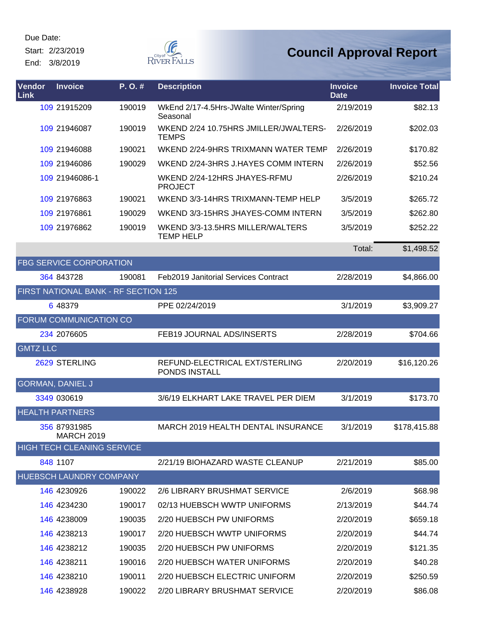Start: 2/23/2019 End: 3/8/2019



| Vendor<br><b>Link</b> | <b>Invoice</b>                       | P.O.#  | <b>Description</b>                                    | <b>Invoice</b><br><b>Date</b> | <b>Invoice Total</b> |
|-----------------------|--------------------------------------|--------|-------------------------------------------------------|-------------------------------|----------------------|
|                       | 109 21915209                         | 190019 | WkEnd 2/17-4.5Hrs-JWalte Winter/Spring<br>Seasonal    | 2/19/2019                     | \$82.13              |
|                       | 109 21946087                         | 190019 | WKEND 2/24 10.75HRS JMILLER/JWALTERS-<br><b>TEMPS</b> | 2/26/2019                     | \$202.03             |
|                       | 109 21946088                         | 190021 | WKEND 2/24-9HRS TRIXMANN WATER TEMP                   | 2/26/2019                     | \$170.82             |
|                       | 109 21946086                         | 190029 | WKEND 2/24-3HRS J.HAYES COMM INTERN                   | 2/26/2019                     | \$52.56              |
|                       | 109 21946086-1                       |        | WKEND 2/24-12HRS JHAYES-RFMU<br><b>PROJECT</b>        | 2/26/2019                     | \$210.24             |
|                       | 109 21976863                         | 190021 | WKEND 3/3-14HRS TRIXMANN-TEMP HELP                    | 3/5/2019                      | \$265.72             |
|                       | 109 21976861                         | 190029 | WKEND 3/3-15HRS JHAYES-COMM INTERN                    | 3/5/2019                      | \$262.80             |
|                       | 109 21976862                         | 190019 | WKEND 3/3-13.5HRS MILLER/WALTERS<br><b>TEMP HELP</b>  | 3/5/2019                      | \$252.22             |
|                       |                                      |        |                                                       | Total:                        | \$1,498.52           |
|                       | <b>FBG SERVICE CORPORATION</b>       |        |                                                       |                               |                      |
|                       | 364 843728                           | 190081 | <b>Feb2019 Janitorial Services Contract</b>           | 2/28/2019                     | \$4,866.00           |
|                       | FIRST NATIONAL BANK - RF SECTION 125 |        |                                                       |                               |                      |
|                       | 6 48379                              |        | PPE 02/24/2019                                        | 3/1/2019                      | \$3,909.27           |
|                       | FORUM COMMUNICATION CO               |        |                                                       |                               |                      |
|                       | 234 2076605                          |        | FEB19 JOURNAL ADS/INSERTS                             | 2/28/2019                     | \$704.66             |
| <b>GMTZ LLC</b>       |                                      |        |                                                       |                               |                      |
|                       | 2629 STERLING                        |        | REFUND-ELECTRICAL EXT/STERLING<br>PONDS INSTALL       | 2/20/2019                     | \$16,120.26          |
|                       | <b>GORMAN, DANIEL J</b>              |        |                                                       |                               |                      |
|                       | 3349 030619                          |        | 3/6/19 ELKHART LAKE TRAVEL PER DIEM                   | 3/1/2019                      | \$173.70             |
|                       | <b>HEALTH PARTNERS</b>               |        |                                                       |                               |                      |
|                       | 356 87931985<br><b>MARCH 2019</b>    |        | <b>MARCH 2019 HEALTH DENTAL INSURANCE</b>             | 3/1/2019                      | \$178,415.88         |
|                       | <b>HIGH TECH CLEANING SERVICE</b>    |        |                                                       |                               |                      |
|                       | 848 1107                             |        | 2/21/19 BIOHAZARD WASTE CLEANUP                       | 2/21/2019                     | \$85.00              |
|                       | HUEBSCH LAUNDRY COMPANY              |        |                                                       |                               |                      |
|                       | 146 4230926                          | 190022 | 2/6 LIBRARY BRUSHMAT SERVICE                          | 2/6/2019                      | \$68.98              |
|                       | 146 4234230                          | 190017 | 02/13 HUEBSCH WWTP UNIFORMS                           | 2/13/2019                     | \$44.74              |
|                       | 146 4238009                          | 190035 | 2/20 HUEBSCH PW UNIFORMS                              | 2/20/2019                     | \$659.18             |
|                       | 146 4238213                          | 190017 | 2/20 HUEBSCH WWTP UNIFORMS                            | 2/20/2019                     | \$44.74              |
|                       | 146 4238212                          | 190035 | 2/20 HUEBSCH PW UNIFORMS                              | 2/20/2019                     | \$121.35             |
|                       | 146 4238211                          | 190016 | 2/20 HUEBSCH WATER UNIFORMS                           | 2/20/2019                     | \$40.28              |
|                       | 146 4238210                          | 190011 | 2/20 HUEBSCH ELECTRIC UNIFORM                         | 2/20/2019                     | \$250.59             |
|                       | 146 4238928                          | 190022 | 2/20 LIBRARY BRUSHMAT SERVICE                         | 2/20/2019                     | \$86.08              |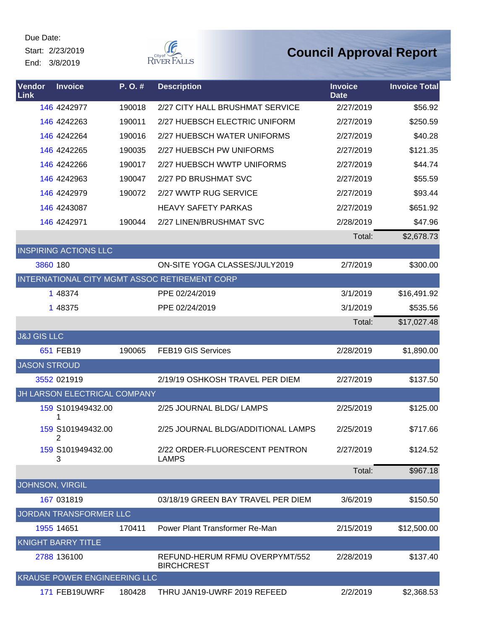Start: 2/23/2019 End: 3/8/2019



| Vendor<br><b>Link</b>  | <b>Invoice</b>                      | P.O.#  | <b>Description</b>                                  | <b>Invoice</b><br><b>Date</b> | <b>Invoice Total</b> |
|------------------------|-------------------------------------|--------|-----------------------------------------------------|-------------------------------|----------------------|
|                        | 146 4242977                         | 190018 | 2/27 CITY HALL BRUSHMAT SERVICE                     | 2/27/2019                     | \$56.92              |
|                        | 146 4242263                         | 190011 | 2/27 HUEBSCH ELECTRIC UNIFORM                       | 2/27/2019                     | \$250.59             |
|                        | 146 4242264                         | 190016 | 2/27 HUEBSCH WATER UNIFORMS                         | 2/27/2019                     | \$40.28              |
|                        | 146 4242265                         | 190035 | 2/27 HUEBSCH PW UNIFORMS                            | 2/27/2019                     | \$121.35             |
|                        | 146 4242266                         | 190017 | 2/27 HUEBSCH WWTP UNIFORMS                          | 2/27/2019                     | \$44.74              |
|                        | 146 4242963                         | 190047 | 2/27 PD BRUSHMAT SVC                                | 2/27/2019                     | \$55.59              |
|                        | 146 4242979                         | 190072 | 2/27 WWTP RUG SERVICE                               | 2/27/2019                     | \$93.44              |
|                        | 146 4243087                         |        | <b>HEAVY SAFETY PARKAS</b>                          | 2/27/2019                     | \$651.92             |
|                        | 146 4242971                         | 190044 | 2/27 LINEN/BRUSHMAT SVC                             | 2/28/2019                     | \$47.96              |
|                        |                                     |        |                                                     | Total:                        | \$2,678.73           |
|                        | <b>INSPIRING ACTIONS LLC</b>        |        |                                                     |                               |                      |
| 3860 180               |                                     |        | ON-SITE YOGA CLASSES/JULY2019                       | 2/7/2019                      | \$300.00             |
|                        |                                     |        | INTERNATIONAL CITY MGMT ASSOC RETIREMENT CORP       |                               |                      |
|                        | 1 48374                             |        | PPE 02/24/2019                                      | 3/1/2019                      | \$16,491.92          |
|                        | 1 48375                             |        | PPE 02/24/2019                                      | 3/1/2019                      | \$535.56             |
|                        |                                     |        |                                                     | Total:                        | \$17,027.48          |
| <b>J&amp;J GIS LLC</b> |                                     |        |                                                     |                               |                      |
|                        | 651 FEB19                           | 190065 | FEB19 GIS Services                                  | 2/28/2019                     | \$1,890.00           |
| <b>JASON STROUD</b>    |                                     |        |                                                     |                               |                      |
|                        | 3552 021919                         |        | 2/19/19 OSHKOSH TRAVEL PER DIEM                     | 2/27/2019                     | \$137.50             |
|                        | JH LARSON ELECTRICAL COMPANY        |        |                                                     |                               |                      |
|                        | 159 S101949432.00                   |        | 2/25 JOURNAL BLDG/ LAMPS                            | 2/25/2019                     | \$125.00             |
|                        | 159 S101949432.00<br>2              |        | 2/25 JOURNAL BLDG/ADDITIONAL LAMPS                  | 2/25/2019                     | \$717.66             |
|                        | 159 S101949432.00<br>3              |        | 2/22 ORDER-FLUORESCENT PENTRON<br><b>LAMPS</b>      | 2/27/2019                     | \$124.52             |
|                        |                                     |        |                                                     | Total:                        | \$967.18             |
| JOHNSON, VIRGIL        |                                     |        |                                                     |                               |                      |
|                        | 167 031819                          |        | 03/18/19 GREEN BAY TRAVEL PER DIEM                  | 3/6/2019                      | \$150.50             |
|                        | JORDAN TRANSFORMER LLC              |        |                                                     |                               |                      |
|                        | 1955 14651                          | 170411 | Power Plant Transformer Re-Man                      | 2/15/2019                     | \$12,500.00          |
|                        | <b>KNIGHT BARRY TITLE</b>           |        |                                                     |                               |                      |
|                        | 2788 136100                         |        | REFUND-HERUM RFMU OVERPYMT/552<br><b>BIRCHCREST</b> | 2/28/2019                     | \$137.40             |
|                        | <b>KRAUSE POWER ENGINEERING LLC</b> |        |                                                     |                               |                      |
|                        | 171 FEB19UWRF                       | 180428 | THRU JAN19-UWRF 2019 REFEED                         | 2/2/2019                      | \$2,368.53           |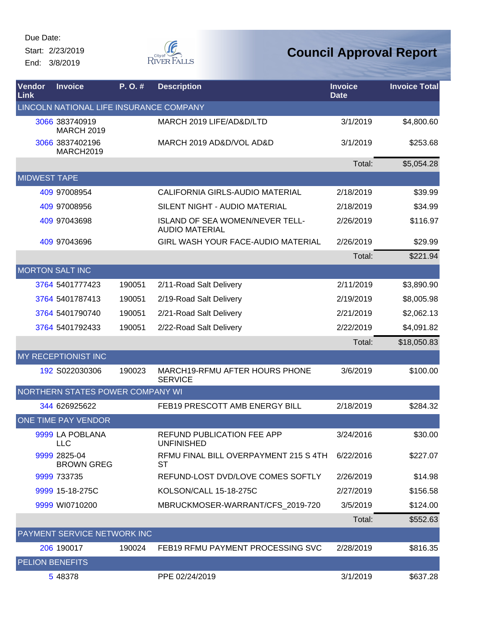Start: 2/23/2019 End: 3/8/2019



| Vendor<br>Link         | <b>Invoice</b>                          | P. O. # | <b>Description</b>                                       | <b>Invoice</b><br><b>Date</b> | <b>Invoice Total</b> |
|------------------------|-----------------------------------------|---------|----------------------------------------------------------|-------------------------------|----------------------|
|                        | LINCOLN NATIONAL LIFE INSURANCE COMPANY |         |                                                          |                               |                      |
|                        | 3066 383740919<br><b>MARCH 2019</b>     |         | MARCH 2019 LIFE/AD&D/LTD                                 | 3/1/2019                      | \$4,800.60           |
|                        | 3066 3837402196<br>MARCH2019            |         | MARCH 2019 AD&D/VOL AD&D                                 | 3/1/2019                      | \$253.68             |
|                        |                                         |         |                                                          | Total:                        | \$5,054.28           |
| <b>MIDWEST TAPE</b>    |                                         |         |                                                          |                               |                      |
|                        | 409 97008954                            |         | CALIFORNIA GIRLS-AUDIO MATERIAL                          | 2/18/2019                     | \$39.99              |
|                        | 409 97008956                            |         | SILENT NIGHT - AUDIO MATERIAL                            | 2/18/2019                     | \$34.99              |
|                        | 409 97043698                            |         | ISLAND OF SEA WOMEN/NEVER TELL-<br><b>AUDIO MATERIAL</b> | 2/26/2019                     | \$116.97             |
|                        | 409 97043696                            |         | GIRL WASH YOUR FACE-AUDIO MATERIAL                       | 2/26/2019                     | \$29.99              |
|                        |                                         |         |                                                          | Total:                        | \$221.94             |
|                        | <b>MORTON SALT INC</b>                  |         |                                                          |                               |                      |
|                        | 3764 5401777423                         | 190051  | 2/11-Road Salt Delivery                                  | 2/11/2019                     | \$3,890.90           |
|                        | 3764 5401787413                         | 190051  | 2/19-Road Salt Delivery                                  | 2/19/2019                     | \$8,005.98           |
|                        | 3764 5401790740                         | 190051  | 2/21-Road Salt Delivery                                  | 2/21/2019                     | \$2,062.13           |
|                        | 3764 5401792433                         | 190051  | 2/22-Road Salt Delivery                                  | 2/22/2019                     | \$4,091.82           |
|                        |                                         |         |                                                          | Total:                        | \$18,050.83          |
|                        | <b>MY RECEPTIONIST INC</b>              |         |                                                          |                               |                      |
|                        | 192 S022030306                          | 190023  | MARCH19-RFMU AFTER HOURS PHONE<br><b>SERVICE</b>         | 3/6/2019                      | \$100.00             |
|                        | NORTHERN STATES POWER COMPANY WI        |         |                                                          |                               |                      |
|                        | 344 626925622                           |         | FEB19 PRESCOTT AMB ENERGY BILL                           | 2/18/2019                     | \$284.32             |
|                        | ONE TIME PAY VENDOR                     |         |                                                          |                               |                      |
|                        | 9999 LA POBLANA<br><b>LLC</b>           |         | REFUND PUBLICATION FEE APP<br><b>UNFINISHED</b>          | 3/24/2016                     | \$30.00              |
|                        | 9999 2825-04<br><b>BROWN GREG</b>       |         | RFMU FINAL BILL OVERPAYMENT 215 S 4TH<br>ST              | 6/22/2016                     | \$227.07             |
|                        | 9999 733735                             |         | REFUND-LOST DVD/LOVE COMES SOFTLY                        | 2/26/2019                     | \$14.98              |
|                        | 9999 15-18-275C                         |         | KOLSON/CALL 15-18-275C                                   | 2/27/2019                     | \$156.58             |
|                        | 9999 WI0710200                          |         | MBRUCKMOSER-WARRANT/CFS_2019-720                         | 3/5/2019                      | \$124.00             |
|                        |                                         |         |                                                          | Total:                        | \$552.63             |
|                        | PAYMENT SERVICE NETWORK INC             |         |                                                          |                               |                      |
|                        | 206 190017                              | 190024  | FEB19 RFMU PAYMENT PROCESSING SVC                        | 2/28/2019                     | \$816.35             |
| <b>PELION BENEFITS</b> |                                         |         |                                                          |                               |                      |
|                        | 5 48378                                 |         | PPE 02/24/2019                                           | 3/1/2019                      | \$637.28             |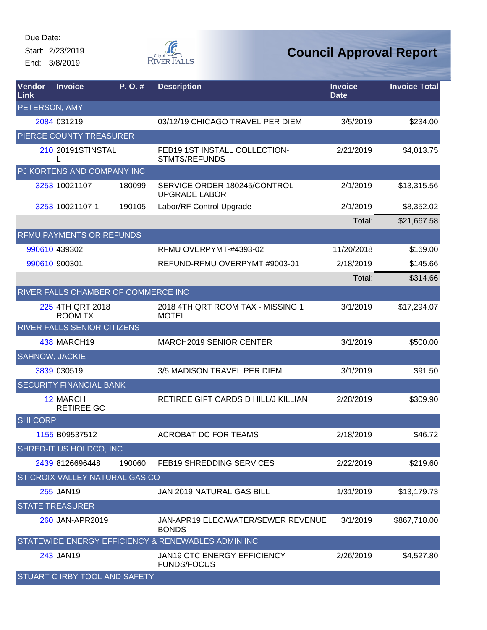Start: 2/23/2019 End: 3/8/2019



| Vendor<br>Link  | <b>Invoice</b>                       | P.O.#  | <b>Description</b>                                    | <b>Invoice</b><br><b>Date</b> | <b>Invoice Total</b> |
|-----------------|--------------------------------------|--------|-------------------------------------------------------|-------------------------------|----------------------|
| PETERSON, AMY   |                                      |        |                                                       |                               |                      |
|                 | 2084 031219                          |        | 03/12/19 CHICAGO TRAVEL PER DIEM                      | 3/5/2019                      | \$234.00             |
|                 | PIERCE COUNTY TREASURER              |        |                                                       |                               |                      |
|                 | 210 20191STINSTAL                    |        | FEB19 1ST INSTALL COLLECTION-<br><b>STMTS/REFUNDS</b> | 2/21/2019                     | \$4,013.75           |
|                 | PJ KORTENS AND COMPANY INC           |        |                                                       |                               |                      |
|                 | 3253 10021107                        | 180099 | SERVICE ORDER 180245/CONTROL<br><b>UPGRADE LABOR</b>  | 2/1/2019                      | \$13,315.56          |
|                 | 3253 10021107-1                      | 190105 | Labor/RF Control Upgrade                              | 2/1/2019                      | \$8,352.02           |
|                 |                                      |        |                                                       | Total:                        | \$21,667.58          |
|                 | RFMU PAYMENTS OR REFUNDS             |        |                                                       |                               |                      |
|                 | 990610 439302                        |        | RFMU OVERPYMT-#4393-02                                | 11/20/2018                    | \$169.00             |
|                 | 990610 900301                        |        | REFUND-RFMU OVERPYMT #9003-01                         | 2/18/2019                     | \$145.66             |
|                 |                                      |        |                                                       | Total:                        | \$314.66             |
|                 | RIVER FALLS CHAMBER OF COMMERCE INC  |        |                                                       |                               |                      |
|                 | 225 4TH QRT 2018<br><b>ROOM TX</b>   |        | 2018 4TH QRT ROOM TAX - MISSING 1<br><b>MOTEL</b>     | 3/1/2019                      | \$17,294.07          |
|                 | RIVER FALLS SENIOR CITIZENS          |        |                                                       |                               |                      |
|                 | 438 MARCH19                          |        | MARCH2019 SENIOR CENTER                               | 3/1/2019                      | \$500.00             |
| SAHNOW, JACKIE  |                                      |        |                                                       |                               |                      |
|                 | 3839 030519                          |        | 3/5 MADISON TRAVEL PER DIEM                           | 3/1/2019                      | \$91.50              |
|                 | <b>SECURITY FINANCIAL BANK</b>       |        |                                                       |                               |                      |
|                 | <b>12 MARCH</b><br><b>RETIREE GC</b> |        | RETIREE GIFT CARDS D HILL/J KILLIAN                   | 2/28/2019                     | \$309.90             |
| <b>SHI CORP</b> |                                      |        |                                                       |                               |                      |
|                 | 1155 B09537512                       |        | <b>ACROBAT DC FOR TEAMS</b>                           | 2/18/2019                     | \$46.72              |
|                 | SHRED-IT US HOLDCO, INC              |        |                                                       |                               |                      |
|                 | 2439 8126696448                      | 190060 | <b>FEB19 SHREDDING SERVICES</b>                       | 2/22/2019                     | \$219.60             |
|                 | ST CROIX VALLEY NATURAL GAS CO       |        |                                                       |                               |                      |
|                 | 255 JAN19                            |        | JAN 2019 NATURAL GAS BILL                             | 1/31/2019                     | \$13,179.73          |
|                 | <b>STATE TREASURER</b>               |        |                                                       |                               |                      |
|                 | 260 JAN-APR2019                      |        | JAN-APR19 ELEC/WATER/SEWER REVENUE<br><b>BONDS</b>    | 3/1/2019                      | \$867,718.00         |
|                 |                                      |        | STATEWIDE ENERGY EFFICIENCY & RENEWABLES ADMIN INC    |                               |                      |
|                 | 243 JAN19                            |        | JAN19 CTC ENERGY EFFICIENCY<br><b>FUNDS/FOCUS</b>     | 2/26/2019                     | \$4,527.80           |
|                 | STUART C IRBY TOOL AND SAFETY        |        |                                                       |                               |                      |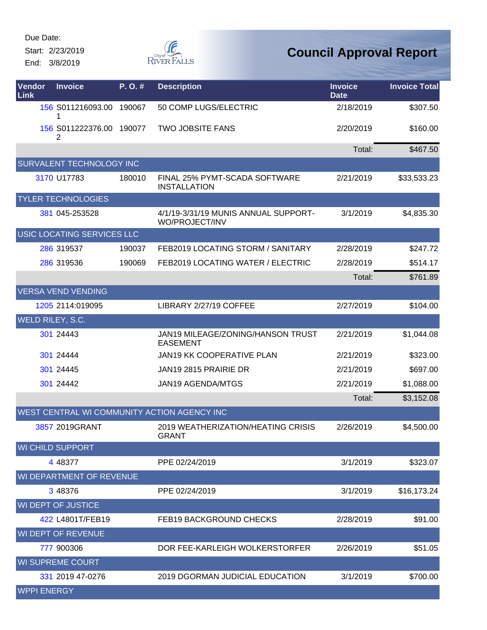Start: 2/23/2019

End: 3/8/2019



| <b>Vendor</b><br>Link | <b>Invoice</b>             | P.O.#  | <b>Description</b>                                     | <b>Invoice</b><br><b>Date</b> | <b>Invoice Total</b> |
|-----------------------|----------------------------|--------|--------------------------------------------------------|-------------------------------|----------------------|
|                       | 156 S011216093.00          | 190067 | 50 COMP LUGS/ELECTRIC                                  | 2/18/2019                     | \$307.50             |
|                       | 156 S011222376.00<br>2     | 190077 | <b>TWO JOBSITE FANS</b>                                | 2/20/2019                     | \$160.00             |
|                       |                            |        |                                                        | Total:                        | \$467.50             |
|                       | SURVALENT TECHNOLOGY INC   |        |                                                        |                               |                      |
|                       | 3170 U17783                | 180010 | FINAL 25% PYMT-SCADA SOFTWARE<br><b>INSTALLATION</b>   | 2/21/2019                     | \$33,533.23          |
|                       | <b>TYLER TECHNOLOGIES</b>  |        |                                                        |                               |                      |
|                       | 381 045-253528             |        | 4/1/19-3/31/19 MUNIS ANNUAL SUPPORT-<br>WO/PROJECT/INV | 3/1/2019                      | \$4,835.30           |
|                       | USIC LOCATING SERVICES LLC |        |                                                        |                               |                      |
|                       | 286 319537                 | 190037 | FEB2019 LOCATING STORM / SANITARY                      | 2/28/2019                     | \$247.72             |
|                       | 286 319536                 | 190069 | FEB2019 LOCATING WATER / ELECTRIC                      | 2/28/2019                     | \$514.17             |
|                       |                            |        |                                                        | Total:                        | \$761.89             |
|                       | <b>VERSA VEND VENDING</b>  |        |                                                        |                               |                      |
|                       | 1205 2114:019095           |        | LIBRARY 2/27/19 COFFEE                                 | 2/27/2019                     | \$104.00             |
|                       | WELD RILEY, S.C.           |        |                                                        |                               |                      |
|                       | 301 24443                  |        | JAN19 MILEAGE/ZONING/HANSON TRUST<br><b>EASEMENT</b>   | 2/21/2019                     | \$1,044.08           |
|                       | 301 24444                  |        | JAN19 KK COOPERATIVE PLAN                              | 2/21/2019                     | \$323.00             |
|                       | 301 24445                  |        | JAN19 2815 PRAIRIE DR                                  | 2/21/2019                     | \$697.00             |
|                       | 301 24442                  |        | <b>JAN19 AGENDA/MTGS</b>                               | 2/21/2019                     | \$1,088.00           |
|                       |                            |        |                                                        | Total:                        | \$3,152.08           |
|                       |                            |        | WEST CENTRAL WI COMMUNITY ACTION AGENCY INC            |                               |                      |
|                       | 3857 2019GRANT             |        | 2019 WEATHERIZATION/HEATING CRISIS<br><b>GRANT</b>     | 2/26/2019                     | \$4,500.00           |
|                       | <b>WI CHILD SUPPORT</b>    |        |                                                        |                               |                      |
|                       | 4 48377                    |        | PPE 02/24/2019                                         | 3/1/2019                      | \$323.07             |
|                       | WI DEPARTMENT OF REVENUE   |        |                                                        |                               |                      |
|                       | 3 48376                    |        | PPE 02/24/2019                                         | 3/1/2019                      | \$16,173.24          |
|                       | <b>WI DEPT OF JUSTICE</b>  |        |                                                        |                               |                      |
|                       | 422 L4801T/FEB19           |        | <b>FEB19 BACKGROUND CHECKS</b>                         | 2/28/2019                     | \$91.00              |
|                       | <b>WI DEPT OF REVENUE</b>  |        |                                                        |                               |                      |
|                       | 777 900306                 |        | DOR FEE-KARLEIGH WOLKERSTORFER                         | 2/26/2019                     | \$51.05              |
|                       | <b>WI SUPREME COURT</b>    |        |                                                        |                               |                      |
|                       | 331 2019 47-0276           |        | <b>2019 DGORMAN JUDICIAL EDUCATION</b>                 | 3/1/2019                      | \$700.00             |
| <b>WPPI ENERGY</b>    |                            |        |                                                        |                               |                      |